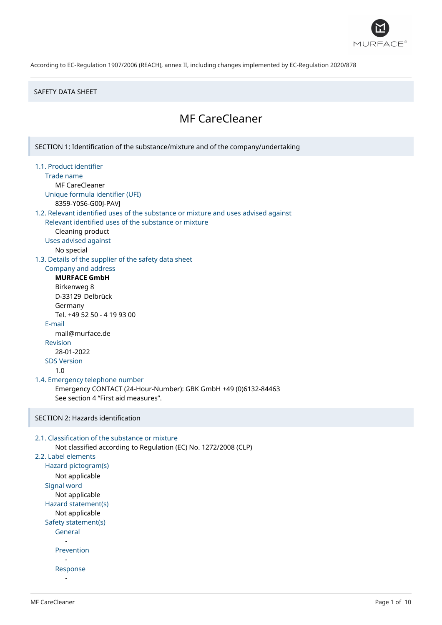

## SAFETY DATA SHEET

# MF CareCleaner

SECTION 1: Identification of the substance/mixture and of the company/undertaking 1.1. Product identifier Trade name MF CareCleaner Unique formula identifier (UFI) 8359-Y0S6-G00J-PAVJ 1.2. Relevant identified uses of the substance or mixture and uses advised against Relevant identified uses of the substance or mixture Cleaning product Uses advised against No special 1.3. Details of the supplier of the safety data sheet Company and address **MURFACE GmbH** Birkenweg 8 D-33129 Delbrück Germany Tel. +49 52 50 - 4 19 93 00 E-mail mail@murface.de Revision 28-01-2022 SDS Version 1.0 1.4. Emergency telephone number Emergency CONTACT (24-Hour-Number): GBK GmbH +49 (0)6132-84463 See section 4 "First aid measures". SECTION 2: Hazards identification 2.1. Classification of the substance or mixture Not classified according to Regulation (EC) No. 1272/2008 (CLP) 2.2. Label elements Hazard pictogram(s) Not applicable Signal word Not applicable Hazard statement(s) Not applicable Safety statement(s) General - Prevention - Response -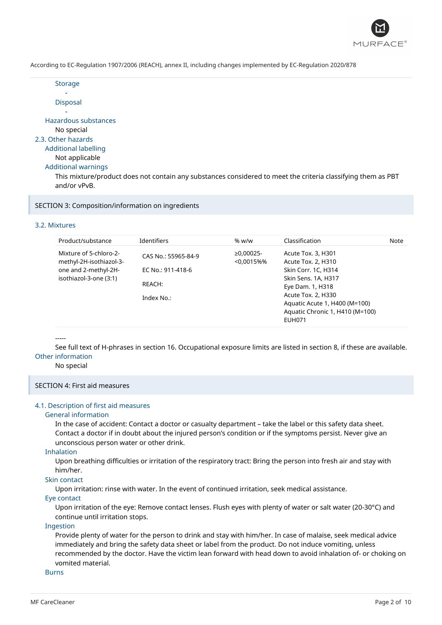

|--|--|

- Disposal

- Hazardous substances No special 2.3. Other hazards Additional labelling

## Not applicable

Additional warnings

This mixture/product does not contain any substances considered to meet the criteria classifying them as PBT and/or vPvB.

SECTION 3: Composition/information on ingredients

## 3.2. Mixtures

| Product/substance                                                                                   | <b>Identifiers</b>          | % w/w                    | Classification                                                                                          | Note |
|-----------------------------------------------------------------------------------------------------|-----------------------------|--------------------------|---------------------------------------------------------------------------------------------------------|------|
| Mixture of 5-chloro-2-<br>methyl-2H-isothiazol-3-<br>one and 2-methyl-2H-<br>isothiazol-3-one (3:1) | CAS No.: 55965-84-9         | $≥0,00025-$<br>< 0.0015% | Acute Tox. 3, H301<br>Acute Tox. 2, H310                                                                |      |
|                                                                                                     | EC No.: 911-418-6<br>REACH: |                          | Skin Corr. 1C, H314<br>Skin Sens. 1A, H317<br>Eye Dam. 1, H318                                          |      |
|                                                                                                     | Index No.:                  |                          | Acute Tox. 2, H330<br>Aquatic Acute 1, H400 (M=100)<br>Aquatic Chronic 1, H410 (M=100)<br><b>EUH071</b> |      |

## -----

See full text of H-phrases in section 16. Occupational exposure limits are listed in section 8, if these are available. Other information

No special

## SECTION 4: First aid measures

#### 4.1. Description of first aid measures

#### General information

In the case of accident: Contact a doctor or casualty department – take the label or this safety data sheet. Contact a doctor if in doubt about the injured person's condition or if the symptoms persist. Never give an unconscious person water or other drink.

## Inhalation

Upon breathing difficulties or irritation of the respiratory tract: Bring the person into fresh air and stay with him/her.

## Skin contact

Upon irritation: rinse with water. In the event of continued irritation, seek medical assistance.

## Eye contact

Upon irritation of the eye: Remove contact lenses. Flush eyes with plenty of water or salt water (20-30°C) and continue until irritation stops.

## Ingestion

Provide plenty of water for the person to drink and stay with him/her. In case of malaise, seek medical advice immediately and bring the safety data sheet or label from the product. Do not induce vomiting, unless recommended by the doctor. Have the victim lean forward with head down to avoid inhalation of- or choking on vomited material.

## Burns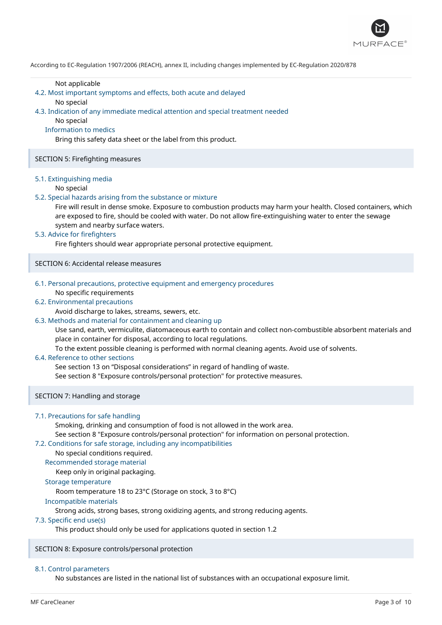

#### Not applicable

4.2. Most important symptoms and effects, both acute and delayed

#### No special

4.3. Indication of any immediate medical attention and special treatment needed

No special

## Information to medics

Bring this safety data sheet or the label from this product.

## SECTION 5: Firefighting measures

#### 5.1. Extinguishing media

#### No special

## 5.2. Special hazards arising from the substance or mixture

Fire will result in dense smoke. Exposure to combustion products may harm your health. Closed containers, which are exposed to fire, should be cooled with water. Do not allow fire-extinguishing water to enter the sewage system and nearby surface waters.

## 5.3. Advice for firefighters

Fire fighters should wear appropriate personal protective equipment.

SECTION 6: Accidental release measures

## 6.1. Personal precautions, protective equipment and emergency procedures

No specific requirements

## 6.2. Environmental precautions

## Avoid discharge to lakes, streams, sewers, etc.

## 6.3. Methods and material for containment and cleaning up

Use sand, earth, vermiculite, diatomaceous earth to contain and collect non-combustible absorbent materials and place in container for disposal, according to local regulations.

To the extent possible cleaning is performed with normal cleaning agents. Avoid use of solvents.

## 6.4. Reference to other sections

See section 13 on "Disposal considerations" in regard of handling of waste.

See section 8 "Exposure controls/personal protection" for protective measures.

SECTION 7: Handling and storage

## 7.1. Precautions for safe handling

Smoking, drinking and consumption of food is not allowed in the work area.

See section 8 "Exposure controls/personal protection" for information on personal protection.

## 7.2. Conditions for safe storage, including any incompatibilities

## No special conditions required.

Recommended storage material

Keep only in original packaging.

## Storage temperature

Room temperature 18 to 23°C (Storage on stock, 3 to 8°C)

#### Incompatible materials

Strong acids, strong bases, strong oxidizing agents, and strong reducing agents.

#### 7.3. Specific end use(s)

This product should only be used for applications quoted in section 1.2

SECTION 8: Exposure controls/personal protection

#### 8.1. Control parameters

No substances are listed in the national list of substances with an occupational exposure limit.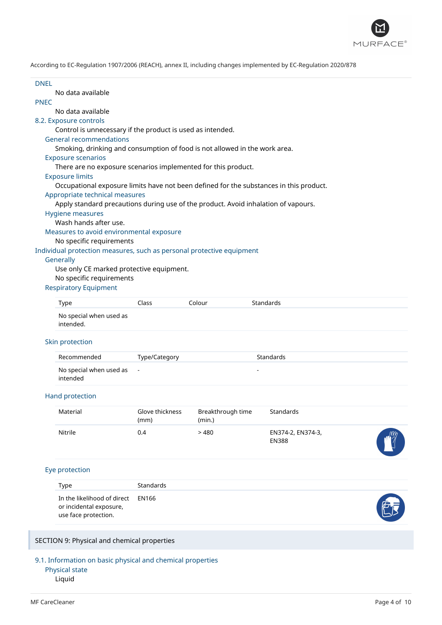

No data available

## PNEC

No data available

## 8.2. Exposure controls

Control is unnecessary if the product is used as intended.

#### General recommendations

Smoking, drinking and consumption of food is not allowed in the work area.

## Exposure scenarios

There are no exposure scenarios implemented for this product.

## Exposure limits

Occupational exposure limits have not been defined for the substances in this product.

## Appropriate technical measures

Apply standard precautions during use of the product. Avoid inhalation of vapours.

#### Hygiene measures

Wash hands after use.

Measures to avoid environmental exposure

## No specific requirements

Individual protection measures, such as personal protective equipment

#### **Generally**

Use only CE marked protective equipment. No specific requirements

## Respiratory Equipment

| Type                    | Class : | Colour | Standards |
|-------------------------|---------|--------|-----------|
| No special when used as |         |        |           |

intended.

## Skin protection

| Recommended                 | Type/Category | Standards |
|-----------------------------|---------------|-----------|
| No special when used as $-$ |               |           |
| intended                    |               |           |

## Hand protection

| Material | Glove thickness<br>(mm) | Breakthrough time<br>(min.) | Standards                         |            |
|----------|-------------------------|-----------------------------|-----------------------------------|------------|
| Nitrile  | 0.4                     | > 480                       | EN374-2, EN374-3,<br><b>EN388</b> | $\sqrt{m}$ |

## Eye protection

| Type                                                                                 | Standards |    |
|--------------------------------------------------------------------------------------|-----------|----|
| In the likelihood of direct EN166<br>or incidental exposure,<br>use face protection. |           | FF |

SECTION 9: Physical and chemical properties

9.1. Information on basic physical and chemical properties Physical state

Liquid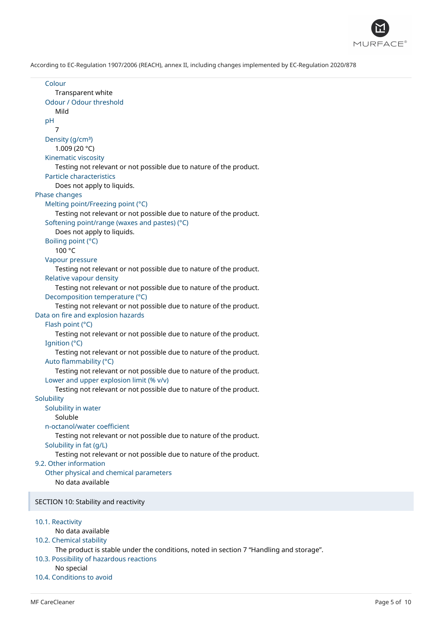

```
Colour
      Transparent white
   Odour / Odour threshold
      Mild
   pH
      7
   Density (g/cm<sup>3</sup>)
      1.009 (20 °C)
   Kinematic viscosity
      Testing not relevant or not possible due to nature of the product.
   Particle characteristics
      Does not apply to liquids.
Phase changes
   Melting point/Freezing point (°C)
      Testing not relevant or not possible due to nature of the product.
   Softening point/range (waxes and pastes) (°C)
      Does not apply to liquids.
   Boiling point (°C)
      100 °C
  Vapour pressure
      Testing not relevant or not possible due to nature of the product.
   Relative vapour density
      Testing not relevant or not possible due to nature of the product.
   Decomposition temperature (°C)
      Testing not relevant or not possible due to nature of the product.
Data on fire and explosion hazards
   Flash point (°C)
      Testing not relevant or not possible due to nature of the product.
   Ignition (°C)
      Testing not relevant or not possible due to nature of the product.
   Auto flammability (°C)
      Testing not relevant or not possible due to nature of the product.
   Lower and upper explosion limit (% v/v)
      Testing not relevant or not possible due to nature of the product.
Solubility
   Solubility in water
      Soluble
   n-octanol/water coefficient
      Testing not relevant or not possible due to nature of the product.
   Solubility in fat (g/L)
      Testing not relevant or not possible due to nature of the product.
9.2. Other information
   Other physical and chemical parameters
      No data available
SECTION 10: Stability and reactivity
10.1. Reactivity
      No data available
10.2. Chemical stability
      The product is stable under the conditions, noted in section 7 "Handling and storage".
10.3. Possibility of hazardous reactions
      No special
10.4. Conditions to avoid
```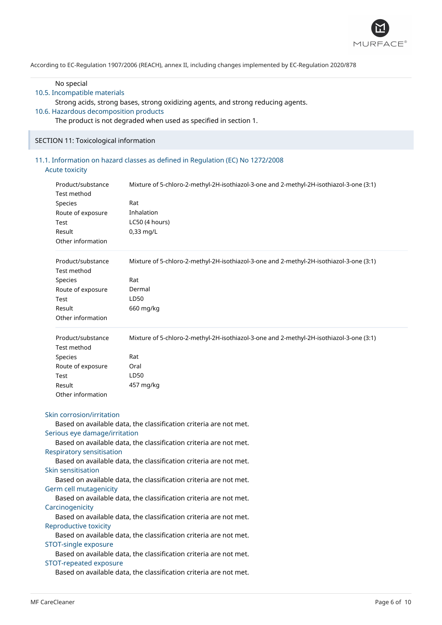

#### No special

## 10.5. Incompatible materials

Strong acids, strong bases, strong oxidizing agents, and strong reducing agents.

## 10.6. Hazardous decomposition products

The product is not degraded when used as specified in section 1.

## SECTION 11: Toxicological information

## 11.1. Information on hazard classes as defined in Regulation (EC) No 1272/2008 Acute toxicity

| Product/substance<br><b>Test method</b> | Mixture of 5-chloro-2-methyl-2H-isothiazol-3-one and 2-methyl-2H-isothiazol-3-one (3:1) |
|-----------------------------------------|-----------------------------------------------------------------------------------------|
| Species                                 | Rat                                                                                     |
| Route of exposure                       | Inhalation                                                                              |
| Test                                    | LC50 (4 hours)                                                                          |
| Result                                  | $0,33$ mg/L                                                                             |
| Other information                       |                                                                                         |
| Product/substance                       | Mixture of 5-chloro-2-methyl-2H-isothiazol-3-one and 2-methyl-2H-isothiazol-3-one (3:1) |
| Test method                             |                                                                                         |
| Species                                 | Rat                                                                                     |
| Route of exposure                       | Dermal                                                                                  |
| <b>Test</b>                             | LD50                                                                                    |
| Result                                  | 660 mg/kg                                                                               |
| Other information                       |                                                                                         |
| Product/substance                       | Mixture of 5-chloro-2-methyl-2H-isothiazol-3-one and 2-methyl-2H-isothiazol-3-one (3:1) |
| Test method                             |                                                                                         |
| Species                                 | Rat                                                                                     |
| Route of exposure                       | Oral                                                                                    |
| <b>Test</b>                             | LD50                                                                                    |
| Result                                  | 457 mg/kg                                                                               |
| Other information                       |                                                                                         |
| Skin corrosion/irritation               |                                                                                         |
|                                         | Based on available data, the classification criteria are not met.                       |
| Serious eye damage/irritation           |                                                                                         |
|                                         | Based on available data, the classification criteria are not met.                       |

## Respiratory sensitisation

Based on available data, the classification criteria are not met. Skin sensitisation

Based on available data, the classification criteria are not met. Germ cell mutagenicity

Based on available data, the classification criteria are not met. **Carcinogenicity** 

Based on available data, the classification criteria are not met. Reproductive toxicity

Based on available data, the classification criteria are not met. STOT-single exposure

Based on available data, the classification criteria are not met. STOT-repeated exposure

Based on available data, the classification criteria are not met.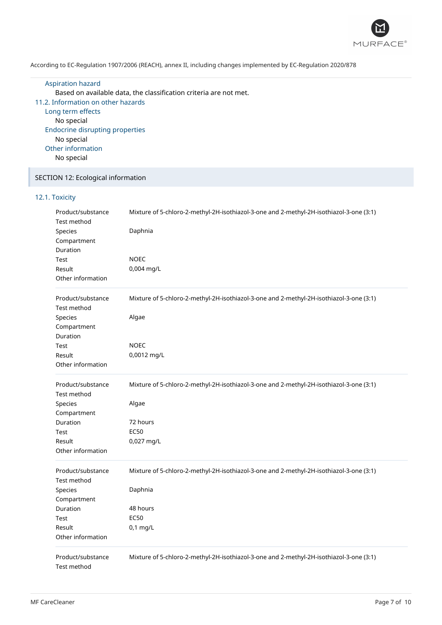

Aspiration hazard Based on available data, the classification criteria are not met. 11.2. Information on other hazards Long term effects No special Endocrine disrupting properties No special Other information No special

## SECTION 12: Ecological information

## 12.1. Toxicity

| Product/substance<br>Test method   | Mixture of 5-chloro-2-methyl-2H-isothiazol-3-one and 2-methyl-2H-isothiazol-3-one (3:1) |
|------------------------------------|-----------------------------------------------------------------------------------------|
| Species                            | Daphnia                                                                                 |
| Compartment                        |                                                                                         |
| Duration                           |                                                                                         |
| Test                               | <b>NOEC</b>                                                                             |
| Result                             | 0,004 mg/L                                                                              |
| Other information                  |                                                                                         |
| Product/substance<br>Test method   | Mixture of 5-chloro-2-methyl-2H-isothiazol-3-one and 2-methyl-2H-isothiazol-3-one (3:1) |
| Species<br>Compartment<br>Duration | Algae                                                                                   |
| Test                               | <b>NOEC</b>                                                                             |
| Result                             | 0,0012 mg/L                                                                             |
| Other information                  |                                                                                         |
| Product/substance                  | Mixture of 5-chloro-2-methyl-2H-isothiazol-3-one and 2-methyl-2H-isothiazol-3-one (3:1) |
| Test method                        |                                                                                         |
| Species                            | Algae                                                                                   |
| Compartment                        |                                                                                         |
| Duration                           | 72 hours                                                                                |
| Test                               | <b>EC50</b>                                                                             |
| Result                             | 0,027 mg/L                                                                              |
| Other information                  |                                                                                         |
| Product/substance<br>Test method   | Mixture of 5-chloro-2-methyl-2H-isothiazol-3-one and 2-methyl-2H-isothiazol-3-one (3:1) |
| Species                            | Daphnia                                                                                 |
| Compartment                        |                                                                                         |
| Duration                           | 48 hours                                                                                |
| Test                               | <b>EC50</b>                                                                             |
| Result                             | $0,1$ mg/L                                                                              |
| Other information                  |                                                                                         |
| Product/substance<br>Test method   | Mixture of 5-chloro-2-methyl-2H-isothiazol-3-one and 2-methyl-2H-isothiazol-3-one (3:1) |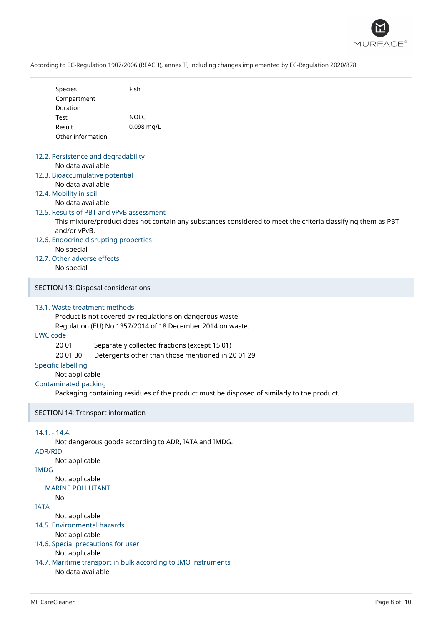

| Species           | Fish       |
|-------------------|------------|
| Compartment       |            |
| Duration          |            |
| Test              | NOFC       |
| Result            | 0,098 mg/L |
| Other information |            |

## 12.2. Persistence and degradability No data available

12.3. Bioaccumulative potential No data available

## 12.4. Mobility in soil

No data available

## 12.5. Results of PBT and vPvB assessment

This mixture/product does not contain any substances considered to meet the criteria classifying them as PBT and/or vPvB.

12.6. Endocrine disrupting properties No special

# 12.7. Other adverse effects

No special

## SECTION 13: Disposal considerations

## 13.1. Waste treatment methods

Product is not covered by regulations on dangerous waste.

Regulation (EU) No 1357/2014 of 18 December 2014 on waste.

## EWC code

20 01 Separately collected fractions (except 15 01)

20 01 30 Detergents other than those mentioned in 20 01 29

## Specific labelling

Not applicable

## Contaminated packing

Packaging containing residues of the product must be disposed of similarly to the product.

## SECTION 14: Transport information

## 14.1. - 14.4.

Not dangerous goods according to ADR, IATA and IMDG.

## ADR/RID

Not applicable

## IMDG

Not applicable

#### MARINE POLLUTANT No

IATA

- Not applicable
- 14.5. Environmental hazards

Not applicable

14.6. Special precautions for user

## Not applicable

14.7. Maritime transport in bulk according to IMO instruments No data available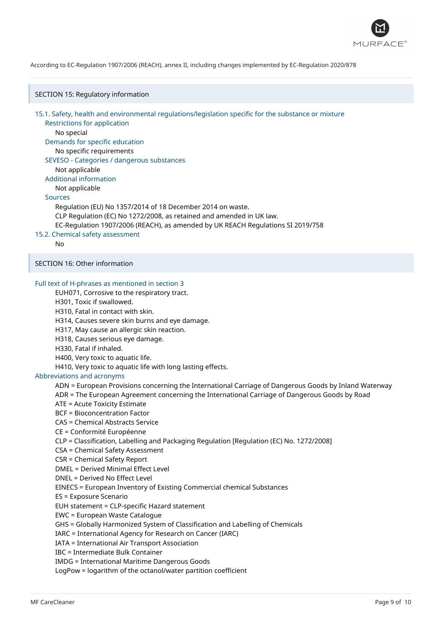

SECTION 15: Regulatory information

15.1. Safety, health and environmental regulations/legislation specific for the substance or mixture

Restrictions for application No special

Demands for specific education No specific requirements

## SEVESO - Categories / dangerous substances

Not applicable

Additional information

Not applicable

## Sources

Regulation (EU) No 1357/2014 of 18 December 2014 on waste. CLP Regulation (EC) No 1272/2008, as retained and amended in UK law. EC-Regulation 1907/2006 (REACH), as amended by UK REACH Regulations SI 2019/758

## 15.2. Chemical safety assessment

No

## SECTION 16: Other information

## Full text of H-phrases as mentioned in section 3

EUH071, Corrosive to the respiratory tract.

H301, Toxic if swallowed.

H310, Fatal in contact with skin.

H314, Causes severe skin burns and eye damage.

H317, May cause an allergic skin reaction.

H318, Causes serious eye damage.

H330, Fatal if inhaled.

H400, Very toxic to aquatic life.

H410, Very toxic to aquatic life with long lasting effects.

#### Abbreviations and acronyms

ADN = European Provisions concerning the International Carriage of Dangerous Goods by Inland Waterway

ADR = The European Agreement concerning the International Carriage of Dangerous Goods by Road

ATE = Acute Toxicity Estimate

BCF = Bioconcentration Factor

CAS = Chemical Abstracts Service

CE = Conformité Européenne

CLP = Classification, Labelling and Packaging Regulation [Regulation (EC) No. 1272/2008]

CSA = Chemical Safety Assessment

CSR = Chemical Safety Report

DMEL = Derived Minimal Effect Level

DNEL = Derived No Effect Level

EINECS = European Inventory of Existing Commercial chemical Substances

ES = Exposure Scenario

EUH statement = CLP-specific Hazard statement

EWC = European Waste Catalogue

GHS = Globally Harmonized System of Classification and Labelling of Chemicals

IARC = International Agency for Research on Cancer (IARC)

IATA = International Air Transport Association

IBC = Intermediate Bulk Container

IMDG = International Maritime Dangerous Goods

LogPow = logarithm of the octanol/water partition coefficient